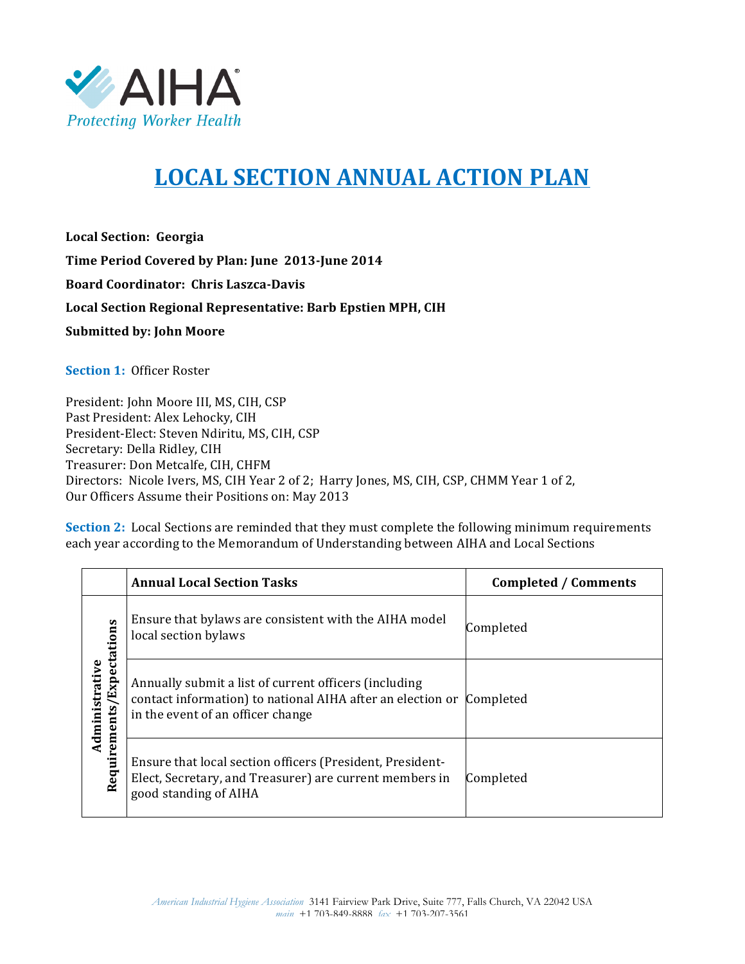

## **LOCAL%SECTION%ANNUAL ACTION%PLAN**

**Local%Section: Georgia** Time Period Covered by Plan: June 2013-June 2014 **Board Coordinator: Chris Laszca-Davis Local%Section%Regional%Representative: Barb%Epstien%MPH,%CIH Submitted by: John Moore** 

**Section 1: Officer Roster** 

President: John Moore III, MS, CIH, CSP Past President: Alex Lehocky, CIH President-Elect: Steven Ndiritu, MS, CIH, CSP Secretary: Della Ridley, CIH Treasurer: Don Metcalfe, CIH, CHFM Directors: Nicole Ivers, MS, CIH Year 2 of 2; Harry Jones, MS, CIH, CSP, CHMM Year 1 of 2, Our Officers Assume their Positions on: May 2013

**Section 2:** Local Sections are reminded that they must complete the following minimum requirements each year according to the Memorandum of Understanding between AIHA and Local Sections

|                                             | <b>Annual Local Section Tasks</b>                                                                                                                                  | <b>Completed / Comments</b> |
|---------------------------------------------|--------------------------------------------------------------------------------------------------------------------------------------------------------------------|-----------------------------|
| Requirements/Expectations<br>Administrative | Ensure that by laws are consistent with the AIHA model<br>local section bylaws                                                                                     | Completed                   |
|                                             | Annually submit a list of current officers (including<br>contact information) to national AIHA after an election or Completed<br>in the event of an officer change |                             |
|                                             | Ensure that local section officers (President, President-<br>Elect, Secretary, and Treasurer) are current members in<br>good standing of AIHA                      | Completed                   |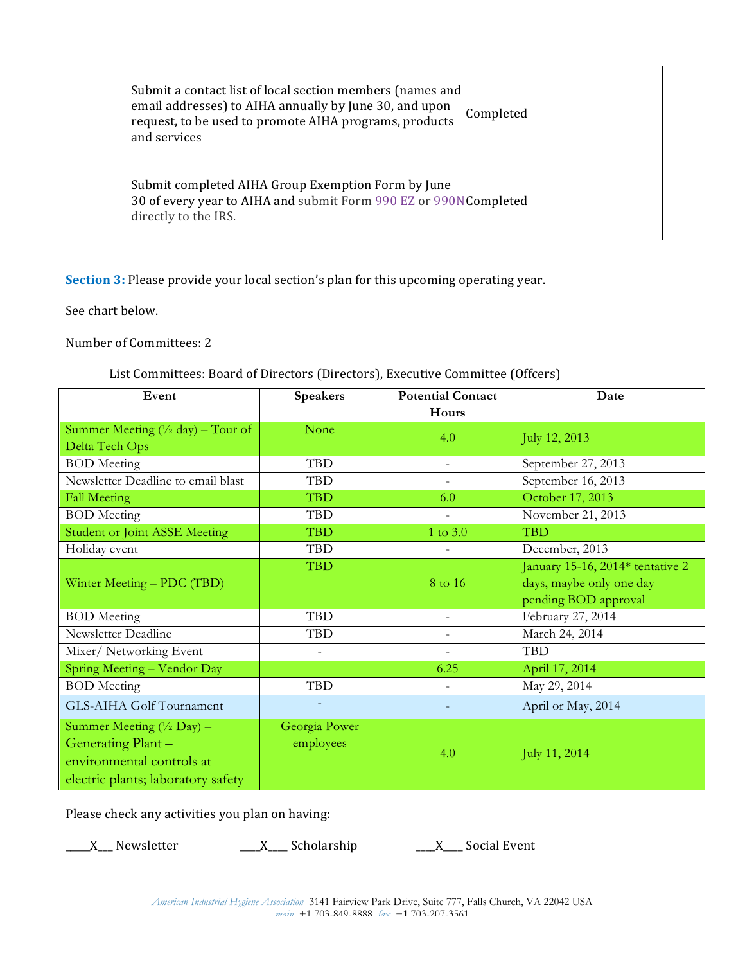| Submit a contact list of local section members (names and<br>email addresses) to AIHA annually by June 30, and upon<br>request, to be used to promote AIHA programs, products<br>and services | Completed |
|-----------------------------------------------------------------------------------------------------------------------------------------------------------------------------------------------|-----------|
| Submit completed AIHA Group Exemption Form by June<br>30 of every year to AIHA and submit Form 990 EZ or 990NCompleted<br>directly to the IRS.                                                |           |

**Section 3:** Please provide your local section's plan for this upcoming operating year.

See chart below.

Number of Committees: 2

## List Committees: Board of Directors (Directors), Executive Committee (Offcers)

| Event                                                | <b>Speakers</b>          | <b>Potential Contact</b> | Date                             |
|------------------------------------------------------|--------------------------|--------------------------|----------------------------------|
|                                                      |                          | Hours                    |                                  |
| Summer Meeting $(\frac{1}{2} \text{ day})$ – Tour of | None                     | 4.0                      | July 12, 2013                    |
| Delta Tech Ops                                       |                          |                          |                                  |
| <b>BOD</b> Meeting                                   | <b>TBD</b>               | $\overline{\phantom{a}}$ | September 27, 2013               |
| Newsletter Deadline to email blast                   | <b>TBD</b>               | $\overline{\phantom{a}}$ | September 16, 2013               |
| <b>Fall Meeting</b>                                  | <b>TBD</b>               | 6.0                      | October 17, 2013                 |
| <b>BOD</b> Meeting                                   | <b>TBD</b>               | $\overline{a}$           | November 21, 2013                |
| <b>Student or Joint ASSE Meeting</b>                 | <b>TBD</b>               | 1 to 3.0                 | <b>TBD</b>                       |
| Holiday event                                        | <b>TBD</b>               | $\overline{\phantom{a}}$ | December, 2013                   |
|                                                      | <b>TBD</b>               |                          | January 15-16, 2014* tentative 2 |
| Winter Meeting - PDC (TBD)                           |                          | 8 to 16                  | days, maybe only one day         |
|                                                      |                          |                          | pending BOD approval             |
| <b>BOD</b> Meeting                                   | <b>TBD</b>               | $\overline{\phantom{a}}$ | February 27, 2014                |
| Newsletter Deadline                                  | <b>TBD</b>               | $\overline{\phantom{a}}$ | March 24, 2014                   |
| Mixer/ Networking Event                              | $\overline{\phantom{a}}$ | $\overline{\phantom{a}}$ | <b>TBD</b>                       |
| Spring Meeting - Vendor Day                          |                          | 6.25                     | April 17, 2014                   |
| <b>BOD</b> Meeting                                   | <b>TBD</b>               | $\overline{\phantom{a}}$ | May 29, 2014                     |
| GLS-AIHA Golf Tournament                             |                          |                          | April or May, 2014               |
| Summer Meeting (1/2 Day) -                           | Georgia Power            |                          |                                  |
| Generating Plant -                                   | employees                |                          |                                  |
| environmental controls at                            |                          | 4.0                      | July 11, 2014                    |
| electric plants; laboratory safety                   |                          |                          |                                  |

Please check any activities you plan on having:

\_\_\_\_\_X\_\_\_!Newsletter \_\_\_\_X\_\_\_\_!Scholarship \_\_\_\_X\_\_\_\_!Social!Event